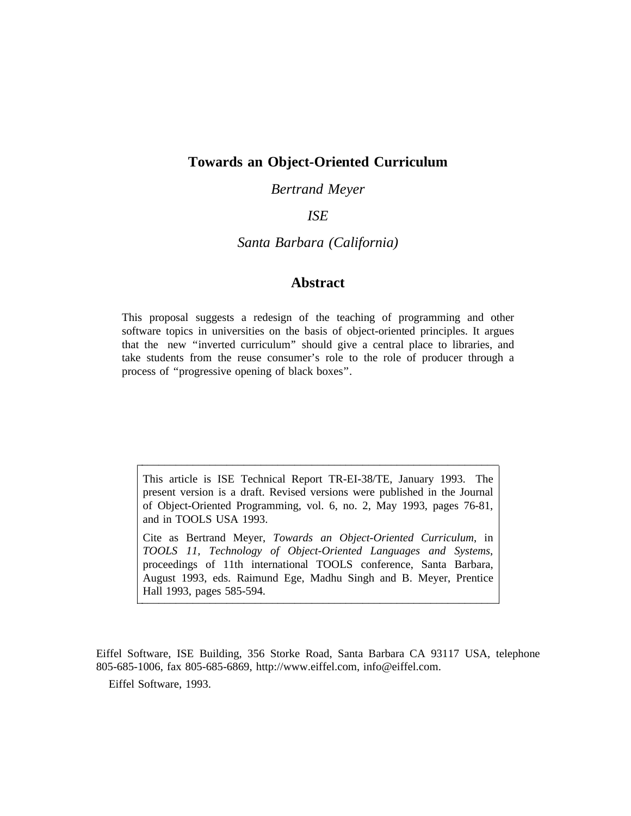## **Towards an Object-Oriented Curriculum**

### *Bertrand Meyer*

# *ISE*

### *Santa Barbara (California)*

## **Abstract**

This proposal suggests a redesign of the teaching of programming and other s oftware topics in universities on the basis of object-oriented principles. It argues t ake students from the reuse consumer's role to the role of producer through a that the new ''inverted curriculum'' should give a central place to libraries, and process of ''progressive opening of black boxes''.

p resent version is a draft. Revised versions were published in the Journal This article is ISE Technical Report TR-EI-38/TE, January 1993. The of Object-Oriented Programming, vol. 6, no. 2, May 1993, pages 76-81, a nd in TOOLS USA 1993.

\_\_\_\_\_\_\_\_\_\_\_\_\_\_\_\_\_\_\_\_\_\_\_\_\_\_\_\_\_\_\_\_\_\_\_\_\_\_\_\_\_\_\_\_\_\_\_\_\_\_\_\_\_\_\_\_\_\_\_\_\_\_\_\_

Cite as Bertrand Meyer, *Towards an Object-Oriented Curriculum*, in , *TOOLS 11, Technology of Object-Oriented Languages and Systems* p roceedings of 11th international TOOLS conference, Santa Barbara, Hall 1993, pages 585-594. August 1993, eds. Raimund Ege, Madhu Singh and B. Meyer, Prentice

Eiffel Software, ISE Building, 356 Storke Road, Santa Barbara CA 93117 USA, telephone 8 05-685-1006, fax 805-685-6869, http://www.eiffel.com, info@eiffel.com. Eiffel Software, 1993.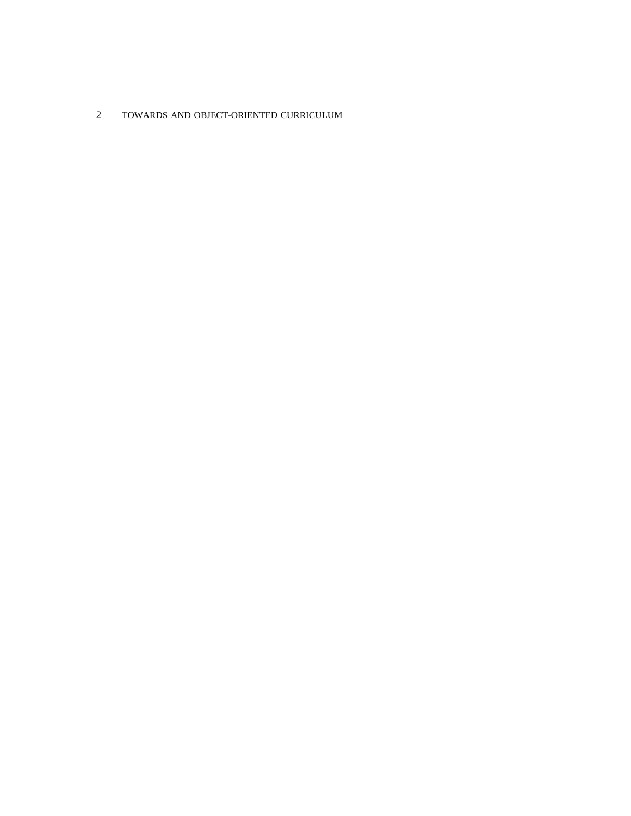### TOWARDS AND OBJECT-ORIENTED CURRICULUM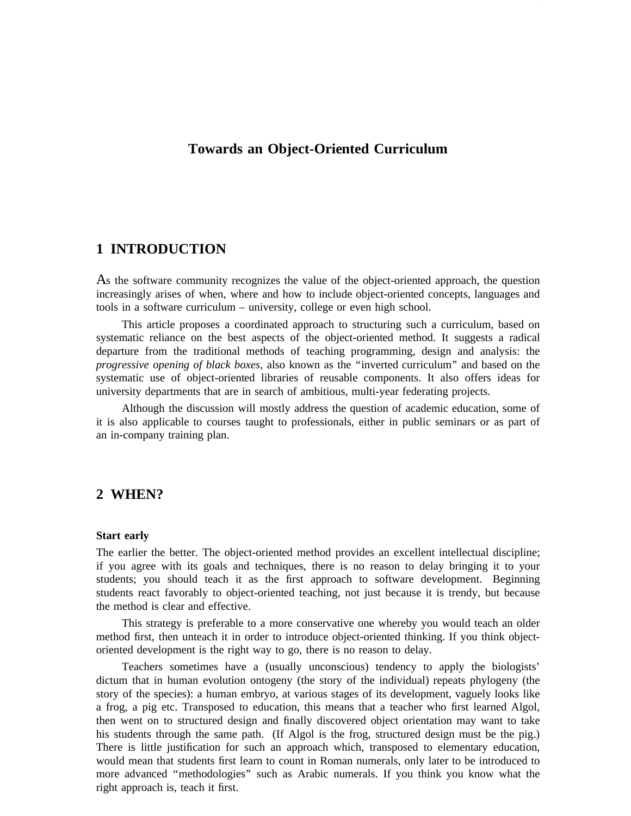# **Towards an Object-Oriented Curriculum**

# **N 1 INTRODUCTIO**

A s the software community recognizes the value of the object-oriented approach, the question increasingly arises of when, where and how to include object-oriented concepts, languages and t ools in a software curriculum – university, college or even high school.

This article proposes a coordinated approach to structuring such a curriculum, based on s ystematic reliance on the best aspects of the object-oriented method. It suggests a radical *p rogressive opening of black boxes*, also known as the ''inverted curriculum'' and based on the departure from the traditional methods of teaching programming, design and analysis: the systematic use of object-oriented libraries of reusable components. It also offers ideas for u niversity departments that are in search of ambitious, multi-year federating projects.

Although the discussion will mostly address the question of academic education, some of i t is also applicable to courses taught to professionals, either in public seminars or as part of an in-company training plan.

# **2 WHEN?**

#### **Start early**

T he earlier the better. The object-oriented method provides an excellent intellectual discipline; s tudents; you should teach it as the first approach to software development. Beginning if you agree with its goals and techniques, there is no reason to delay bringing it to your students react favorably to object-oriented teaching, not just because it is trendy, but because t he method is clear and effective.

This strategy is preferable to a more conservative one whereby you would teach an older method first, then unteach it in order to introduce object-oriented thinking. If you think objecto riented development is the right way to go, there is no reason to delay.

' Teachers sometimes have a (usually unconscious) tendency to apply the biologists d ictum that in human evolution ontogeny (the story of the individual) repeats phylogeny (the story of the species): a human embryo, at various stages of its development, vaguely looks like a frog, a pig etc. Transposed to education, this means that a teacher who first learned Algol, h is students through the same path. (If Algol is the frog, structured design must be the pig.) then went on to structured design and finally discovered object orientation may want to take There is little justification for such an approach which, transposed to elementary education, w ould mean that students first learn to count in Roman numerals, only later to be introduced to more advanced "methodologies" such as Arabic numerals. If you think you know what the r ight approach is, teach it first.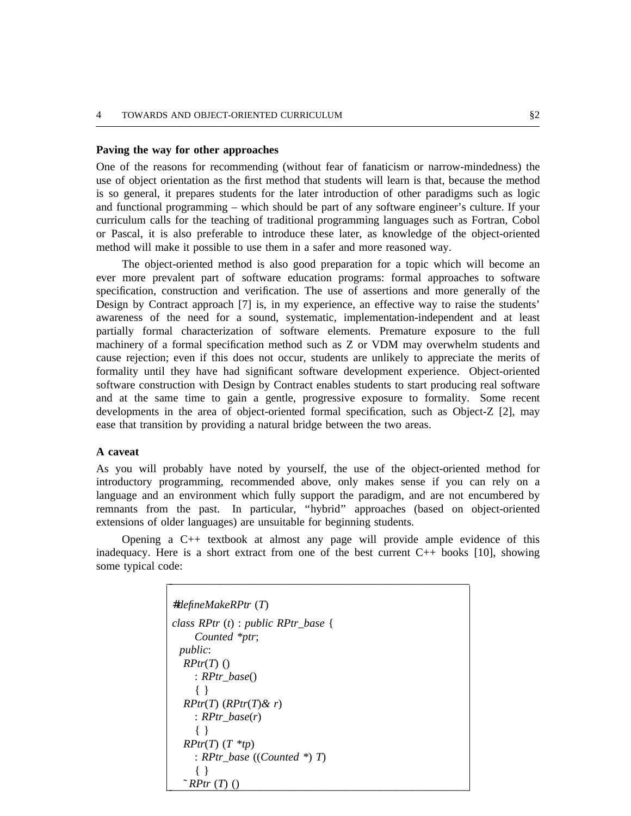### **Paving the way for other approaches**

O ne of the reasons for recommending (without fear of fanaticism or narrow-mindedness) the i s so general, it prepares students for the later introduction of other paradigms such as logic use of object orientation as the first method that students will learn is that, because the method and functional programming – which should be part of any software engineer's culture. If your c urriculum calls for the teaching of traditional programming languages such as Fortran, Cobol m ethod will make it possible to use them in a safer and more reasoned way. or Pascal, it is also preferable to introduce these later, as knowledge of the object-oriented

The object-oriented method is also good preparation for a topic which will become an e ver more prevalent part of software education programs: formal approaches to software specification, construction and verification. The use of assertions and more generally of the D esign by Contract approach [7] is, in my experience, an effective way to raise the students' awareness of the need for a sound, systematic, implementation-independent and at least p artially formal characterization of software elements. Premature exposure to the full c ause rejection; even if this does not occur, students are unlikely to appreciate the merits of machinery of a formal specification method such as Z or VDM may overwhelm students and s oftware construction with Design by Contract enables students to start producing real software formality until they have had significant software development experience. Object-oriented and at the same time to gain a gentle, progressive exposure to formality. Some recent d evelopments in the area of object-oriented formal specification, such as Object-Z [2], may ease that transition by providing a natural bridge between the two areas.

#### **A caveat**

As you will probably have noted by yourself, the use of the object-oriented method for l anguage and an environment which fully support the paradigm, and are not encumbered by introductory programming, recommended above, only makes sense if you can rely on a remnants from the past. In particular, "hybrid" approaches (based on object-oriented e xtensions of older languages) are unsuitable for beginning students.

Opening a C++ textbook at almost any page will provide ample evidence of this i nadequacy. Here is a short extract from one of the best current C++ books [10], showing some typical code:

\_\_\_\_\_\_\_\_\_\_\_\_\_\_\_\_\_\_\_\_\_\_\_\_\_\_\_\_\_\_\_\_\_\_\_\_\_\_\_\_\_\_\_\_\_\_\_\_\_\_\_\_\_\_

*c lass RPtr* (*t*) : *public RPtr*\_*base* { #*defineMakeRPtr* (*T*) *Counted \*ptr*; *public*: *RPtr*(*T*) () : *RPtr*\_*base*() { } *RPtr*(*T*) (*RPtr*(*T*)*& r*) : *RPtr*\_*base*(*r*) { } *RPtr*(*T*) (*T \*tp*) : *RPtr*\_*base* ((*Counted \**) *T*) { }  $\tilde{P}$ *RPtr* (*T*) ()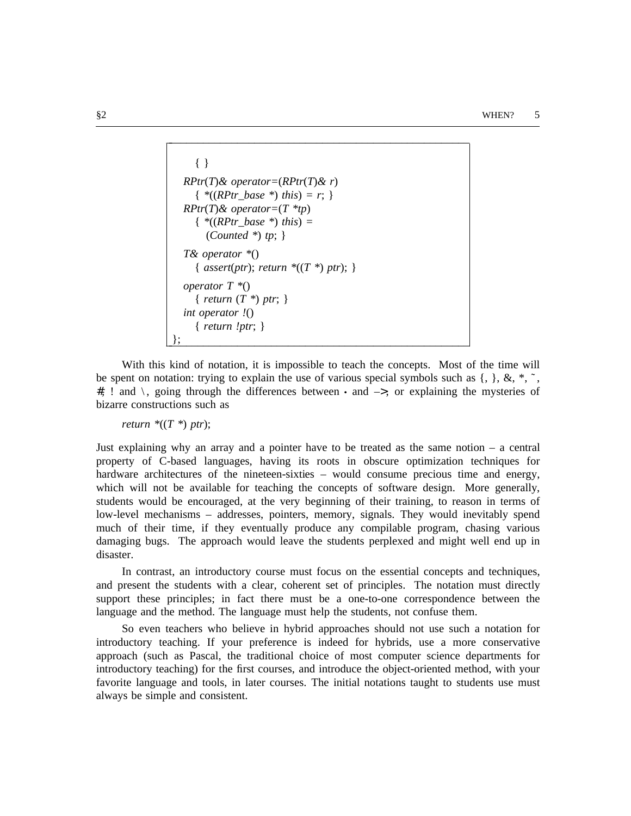```
R
Ptr(T)& operator=(RPtr(T)& r)
    { }
   R
Ptr(T)& operator=(T *tp)
     { *((RPtr_base *) this) = r; }
     { *((RPtr_base *) this) =
       (Counted *) tp; }
  T& operator *()
     { assert(ptr); return *((T *) ptr); }
  operator T *()
    { return (T *) ptr; }
  int operator !()
     { return !ptr; }
\frac{1}{2} };
```
\_\_\_\_\_\_\_\_\_\_\_\_\_\_\_\_\_\_\_\_\_\_\_\_\_\_\_\_\_\_\_\_\_\_\_\_\_\_\_\_\_\_\_\_\_\_\_\_\_\_\_\_\_\_

With this kind of notation, it is impossible to teach the concepts. Most of the time will be spent on notation: trying to explain the use of various special symbols such as {, }, &, \*, ~, #, ! and  $\lambda$ , going through the differences between  $\bullet$  and  $\rightarrow$ , or explaining the mysteries of bizarre constructions such as

*return*  $*(T*)$  *ptr*);

Just explaining why an array and a pointer have to be treated as the same notion  $-$  a central hardware architectures of the nineteen-sixties – would consume precious time and energy, property of C-based languages, having its roots in obscure optimization techniques for which will not be available for teaching the concepts of software design. More generally, s tudents would be encouraged, at the very beginning of their training, to reason in terms of m uch of their time, if they eventually produce any compilable program, chasing various low-level mechanisms – addresses, pointers, memory, signals. They would inevitably spend d isaster. damaging bugs. The approach would leave the students perplexed and might well end up in

In contrast, an introductory course must focus on the essential concepts and techniques, s upport these principles; in fact there must be a one-to-one correspondence between the and present the students with a clear, coherent set of principles. The notation must directly language and the method. The language must help the students, not confuse them.

So even teachers who believe in hybrid approaches should not use such a notation for a pproach (such as Pascal, the traditional choice of most computer science departments for introductory teaching. If your preference is indeed for hybrids, use a more conservative introductory teaching) for the first courses, and introduce the object-oriented method, with your f avorite language and tools, in later courses. The initial notations taught to students use must always be simple and consistent.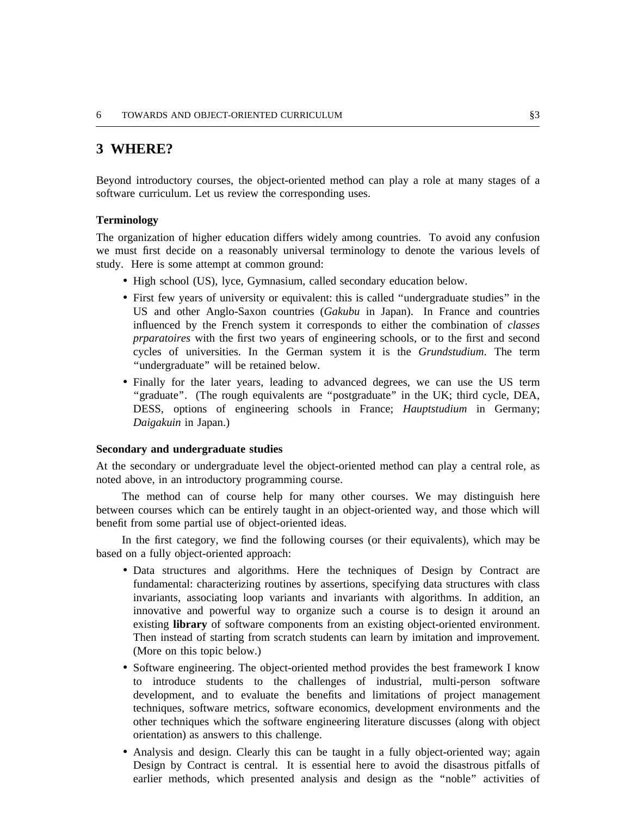# **3 WHERE?**

B eyond introductory courses, the object-oriented method can play a role at many stages of a software curriculum. Let us review the corresponding uses.

#### **T erminology**

The organization of higher education differs widely among countries. To avoid any confusion we must first decide on a reasonably universal terminology to denote the various levels of s tudy. Here is some attempt at common ground:

- High school (US), lyce, Gymnasium, called secondary education below.
- First few years of university or equivalent: this is called "undergraduate studies" in the US and other Anglo-Saxon countries (*Gakubu* in Japan). In France and countries i nfluenced by the French system it corresponds to either the combination of *classes* c ycles of universities. In the German system it is the *Grundstudium*. The term *prparatoires* with the first two years of engineering schools, or to the first and second ''undergraduate'' will be retained below.
- Finally for the later years, leading to advanced degrees, we can use the US term "graduate". (The rough equivalents are "postgraduate" in the UK; third cycle, DEA, D ESS, options of engineering schools in France; *Hauptstudium* in Germany; *Daigakuin* in Japan.)

#### **S econdary and undergraduate studies**

At the secondary or undergraduate level the object-oriented method can play a central role, as noted above, in an introductory programming course.

The method can of course help for many other courses. We may distinguish here between courses which can be entirely taught in an object-oriented way, and those which will b enefit from some partial use of object-oriented ideas.

In the first category, we find the following courses (or their equivalents), which may be b ased on a fully object-oriented approach:

- Data structures and algorithms. Here the techniques of Design by Contract are fundamental: characterizing routines by assertions, specifying data structures with class i nvariants, associating loop variants and invariants with algorithms. In addition, an n innovative and powerful way to organize such a course is to design it around a e xisting **library** of software components from an existing object-oriented environment. Then instead of starting from scratch students can learn by imitation and improvement. ( More on this topic below.)
- Software engineering. The object-oriented method provides the best framework I know to introduce students to the challenges of industrial, multi-person software d evelopment, and to evaluate the benefits and limitations of project management o ther techniques which the software engineering literature discusses (along with object techniques, software metrics, software economics, development environments and the orientation) as answers to this challenge.
- Analysis and design. Clearly this can be taught in a fully object-oriented way; again Design by Contract is central. It is essential here to avoid the disastrous pitfalls of e arlier methods, which presented analysis and design as the ''noble'' activities of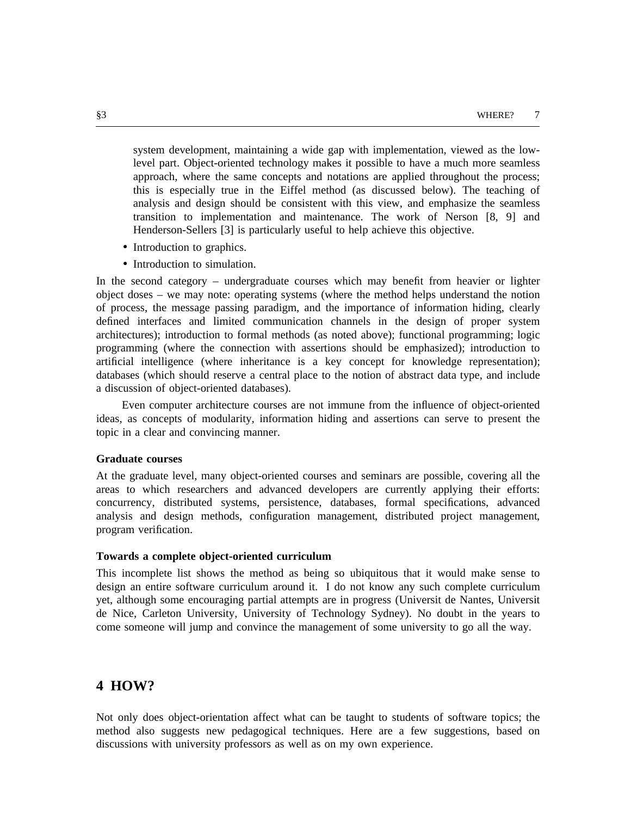l evel part. Object-oriented technology makes it possible to have a much more seamless system development, maintaining a wide gap with implementation, viewed as the lowapproach, where the same concepts and notations are applied throughout the process; t his is especially true in the Eiffel method (as discussed below). The teaching of t ransition to implementation and maintenance. The work of Nerson [8, 9] and analysis and design should be consistent with this view, and emphasize the seamless Henderson-Sellers [3] is particularly useful to help achieve this objective.

- Introduction to graphics.
- Introduction to simulation.

In the second category – undergraduate courses which may benefit from heavier or lighter o f process, the message passing paradigm, and the importance of information hiding, clearly object doses – we may note: operating systems (where the method helps understand the notion a rchitectures); introduction to formal methods (as noted above); functional programming; logic defined interfaces and limited communication channels in the design of proper system a rtificial intelligence (where inheritance is a key concept for knowledge representation); programming (where the connection with assertions should be emphasized); introduction to a discussion of object-oriented databases). databases (which should reserve a central place to the notion of abstract data type, and include

Even computer architecture courses are not immune from the influence of object-oriented ideas, as concepts of modularity, information hiding and assertions can serve to present the t opic in a clear and convincing manner.

### **Graduate courses**

A t the graduate level, many object-oriented courses and seminars are possible, covering all the areas to which researchers and advanced developers are currently applying their efforts: c oncurrency, distributed systems, persistence, databases, formal specifications, advanced analysis and design methods, configuration management, distributed project management, p rogram verification.

### **Towards a complete object-oriented curriculum**

This incomplete list shows the method as being so ubiquitous that it would make sense to d esign an entire software curriculum around it. I do not know any such complete curriculum yet, although some encouraging partial attempts are in progress (Universit de Nantes, Universit d e Nice, Carleton University, University of Technology Sydney). No doubt in the years to come someone will jump and convince the management of some university to go all the way.

# **4 HOW?**

Not only does object-orientation affect what can be taught to students of software topics; the d iscussions with university professors as well as on my own experience.method also suggests new pedagogical techniques. Here are a few suggestions, based on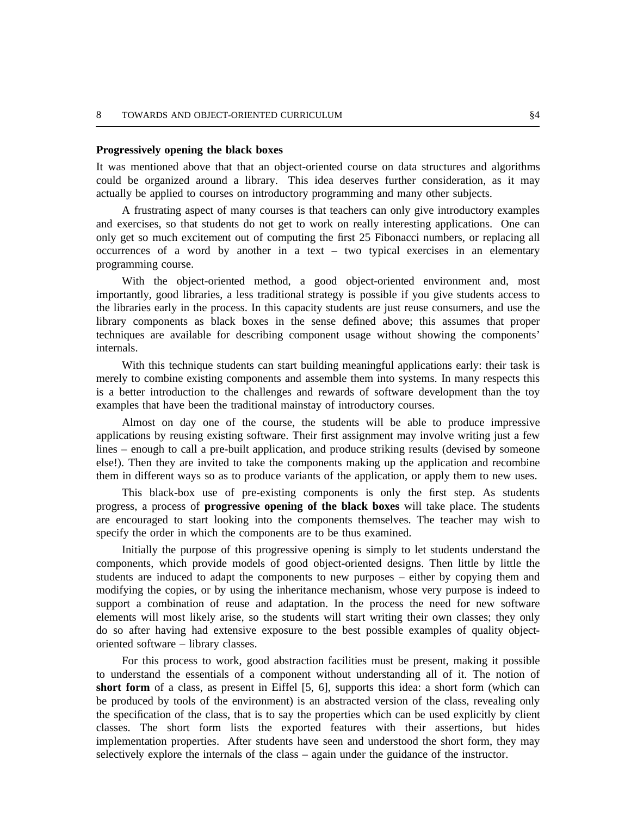#### **Progressively opening the black boxes**

It was mentioned above that that an object-oriented course on data structures and algorithms a ctually be applied to courses on introductory programming and many other subjects. could be organized around a library. This idea deserves further consideration, as it may

A frustrating aspect of many courses is that teachers can only give introductory examples a nd exercises, so that students do not get to work on really interesting applications. One can only get so much excitement out of computing the first 25 Fibonacci numbers, or replacing all o ccurrences of a word by another in a text – two typical exercises in an elementary programming course.

With the object-oriented method, a good object-oriented environment and, most t he libraries early in the process. In this capacity students are just reuse consumers, and use the importantly, good libraries, a less traditional strategy is possible if you give students access to library components as black boxes in the sense defined above; this assumes that proper t echniques are available for describing component usage without showing the components' internals.

With this technique students can start building meaningful applications early: their task is merely to combine existing components and assemble them into systems. In many respects this i s a better introduction to the challenges and rewards of software development than the toy examples that have been the traditional mainstay of introductory courses.

Almost on day one of the course, the students will be able to produce impressive l ines – enough to call a pre-built application, and produce striking results (devised by someone applications by reusing existing software. Their first assignment may involve writing just a few e else!). Then they are invited to take the components making up the application and recombin t hem in different ways so as to produce variants of the application, or apply them to new uses.

This black-box use of pre-existing components is only the first step. As students p rogress, a process of **progressive opening of the black boxes** will take place. The students s pecify the order in which the components are to be thus examined. are encouraged to start looking into the components themselves. The teacher may wish to

Initially the purpose of this progressive opening is simply to let students understand the c omponents, which provide models of good object-oriented designs. Then little by little the m odifying the copies, or by using the inheritance mechanism, whose very purpose is indeed to students are induced to adapt the components to new purposes – either by copying them and support a combination of reuse and adaptation. In the process the need for new software e lements will most likely arise, so the students will start writing their own classes; they only - do so after having had extensive exposure to the best possible examples of quality object o riented software – library classes.

For this process to work, good abstraction facilities must be present, making it possible to understand the essentials of a component without understanding all of it. The notion of **s hort form** of a class, as present in Eiffel [5, 6], supports this idea: a short form (which can be produced by tools of the environment) is an abstracted version of the class, revealing only t he specification of the class, that is to say the properties which can be used explicitly by client i mplementation properties. After students have seen and understood the short form, they may classes. The short form lists the exported features with their assertions, but hides selectively explore the internals of the class – again under the guidance of the instructor.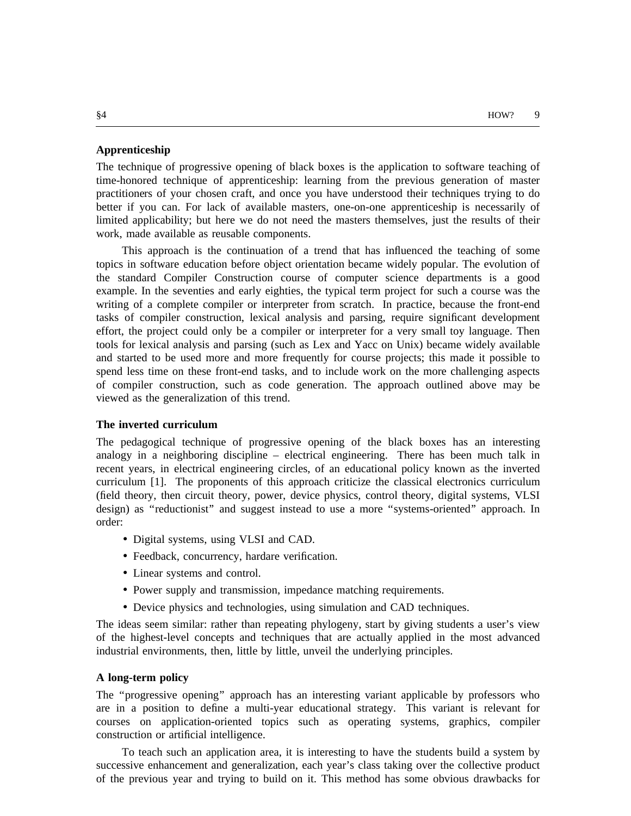### **Apprenticeship**

T he technique of progressive opening of black boxes is the application to software teaching of time-honored technique of apprenticeship: learning from the previous generation of master p ractitioners of your chosen craft, and once you have understood their techniques trying to do better if you can. For lack of available masters, one-on-one apprenticeship is necessarily of l imited applicability; but here we do not need the masters themselves, just the results of their work, made available as reusable components.

This approach is the continuation of a trend that has influenced the teaching of some topics in software education before object orientation became widely popular. The evolution of t he standard Compiler Construction course of computer science departments is a good example. In the seventies and early eighties, the typical term project for such a course was the w riting of a complete compiler or interpreter from scratch. In practice, because the front-end t tasks of compiler construction, lexical analysis and parsing, require significant developmen e ffort, the project could only be a compiler or interpreter for a very small toy language. Then tools for lexical analysis and parsing (such as Lex and Yacc on Unix) became widely available a nd started to be used more and more frequently for course projects; this made it possible to s spend less time on these front-end tasks, and to include work on the more challenging aspect o f compiler construction, such as code generation. The approach outlined above may be viewed as the generalization of this trend.

#### **T he inverted curriculum**

The pedagogical technique of progressive opening of the black boxes has an interesting n analogy in a neighboring discipline – electrical engineering. There has been much talk i r ecent years, in electrical engineering circles, of an educational policy known as the inverted ( field theory, then circuit theory, power, device physics, control theory, digital systems, VLSI curriculum [1]. The proponents of this approach criticize the classical electronics curriculum o rder: design) as "reductionist" and suggest instead to use a more "systems-oriented" approach. In

- Digital systems, using VLSI and CAD.
- Feedback, concurrency, hardare verification.
- Linear systems and control.
- Power supply and transmission, impedance matching requirements.
- Device physics and technologies, using simulation and CAD techniques.

The ideas seem similar: rather than repeating phylogeny, start by giving students a user's view o f the highest-level concepts and techniques that are actually applied in the most advanced industrial environments, then, little by little, unveil the underlying principles.

#### **A long-term policy**

The ''progressive opening'' approach has an interesting variant applicable by professors who are in a position to define a multi-year educational strategy. This variant is relevant for c ourses on application-oriented topics such as operating systems, graphics, compiler construction or artificial intelligence.

To teach such an application area, it is interesting to have the students build a system by successive enhancement and generalization, each year's class taking over the collective product o f the previous year and trying to build on it. This method has some obvious drawbacks for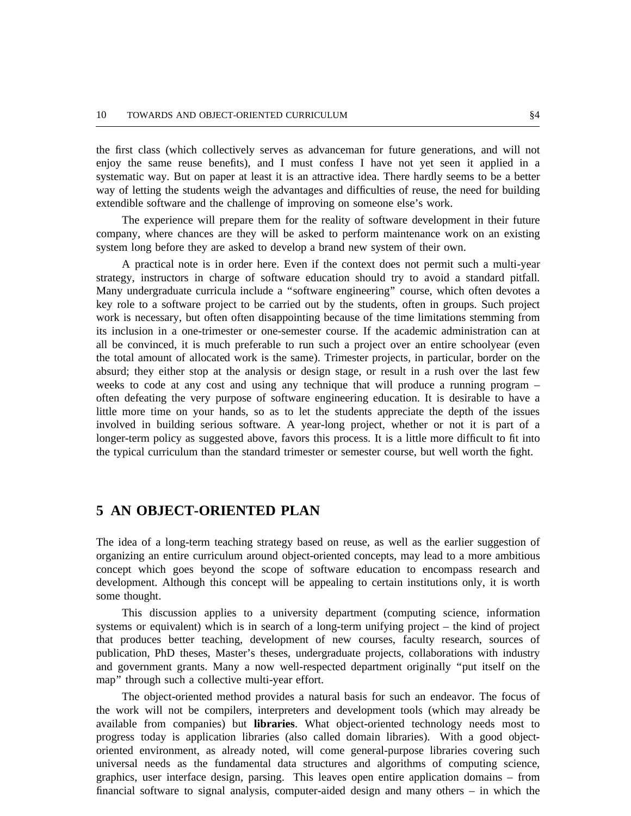the first class (which collectively serves as advanceman for future generations, and will not s ystematic way. But on paper at least it is an attractive idea. There hardly seems to be a better enjoy the same reuse benefits), and I must confess I have not yet seen it applied in a e xtendible software and the challenge of improving on someone else's work. way of letting the students weigh the advantages and difficulties of reuse, the need for building

The experience will prepare them for the reality of software development in their future c ompany, where chances are they will be asked to perform maintenance work on an existing system long before they are asked to develop a brand new system of their own.

A practical note is in order here. Even if the context does not permit such a multi-year . strategy, instructors in charge of software education should try to avoid a standard pitfall M any undergraduate curricula include a ''software engineering'' course, which often devotes a key role to a software project to be carried out by the students, often in groups. Such project w ork is necessary, but often often disappointing because of the time limitations stemming from its inclusion in a one-trimester or one-semester course. If the academic administration can at a ll be convinced, it is much preferable to run such a project over an entire schoolyear (even the total amount of allocated work is the same). Trimester projects, in particular, border on the a bsurd; they either stop at the analysis or design stage, or result in a rush over the last few – weeks to code at any cost and using any technique that will produce a running program o ften defeating the very purpose of software engineering education. It is desirable to have a little more time on your hands, so as to let the students appreciate the depth of the issues i nvolved in building serious software. A year-long project, whether or not it is part of a t he typical curriculum than the standard trimester or semester course, but well worth the fight. longer-term policy as suggested above, favors this process. It is a little more difficult to fit into

## **5 AN OBJECT-ORIENTED PLAN**

T he idea of a long-term teaching strategy based on reuse, as well as the earlier suggestion of c oncept which goes beyond the scope of software education to encompass research and organizing an entire curriculum around object-oriented concepts, may lead to a more ambitious development. Although this concept will be appealing to certain institutions only, it is worth s ome thought.

This discussion applies to a university department (computing science, information systems or equivalent) which is in search of a long-term unifying project – the kind of project t hat produces better teaching, development of new courses, faculty research, sources of a nd government grants. Many a now well-respected department originally ''put itself on the publication, PhD theses, Master's theses, undergraduate projects, collaborations with industry map'' through such a collective multi-year effort.

The object-oriented method provides a natural basis for such an endeavor. The focus of a vailable from companies) but **libraries**. What object-oriented technology needs most to the work will not be compilers, interpreters and development tools (which may already be - progress today is application libraries (also called domain libraries). With a good object o riented environment, as already noted, will come general-purpose libraries covering such universal needs as the fundamental data structures and algorithms of computing science, g raphics, user interface design, parsing. This leaves open entire application domains – from financial software to signal analysis, computer-aided design and many others – in which the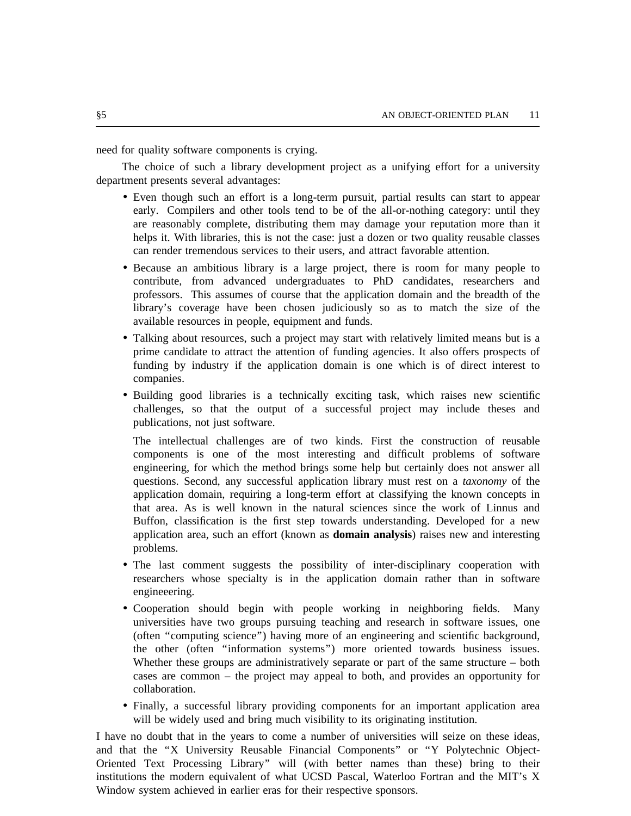need for quality software components is crying.

The choice of such a library development project as a unifying effort for a university department presents several advantages:

- Even though such an effort is a long-term pursuit, partial results can start to appear a re reasonably complete, distributing them may damage your reputation more than it early. Compilers and other tools tend to be of the all-or-nothing category: until they c an render tremendous services to their users, and attract favorable attention. helps it. With libraries, this is not the case: just a dozen or two quality reusable classes
- Because an ambitious library is a large project, there is room for many people to contribute, from advanced undergraduates to PhD candidates, researchers and p rofessors. This assumes of course that the application domain and the breadth of the library's coverage have been chosen judiciously so as to match the size of the a vailable resources in people, equipment and funds.
- Talking about resources, such a project may start with relatively limited means but is a prime candidate to attract the attention of funding agencies. It also offers prospects of f unding by industry if the application domain is one which is of direct interest to companies.
- Building good libraries is a technically exciting task, which raises new scientific p ublications, not just software. challenges, so that the output of a successful project may include theses and

The intellectual challenges are of two kinds. First the construction of reusable e components is one of the most interesting and difficult problems of softwar e ngineering, for which the method brings some help but certainly does not answer all a pplication domain, requiring a long-term effort at classifying the known concepts in questions. Second, any successful application library must rest on a *taxonomy* of the that area. As is well known in the natural sciences since the work of Linnus and B uffon, classification is the first step towards understanding. Developed for a new application area, such an effort (known as **domain analysis**) raises new and interesting p roblems.

- The last comment suggests the possibility of inter-disciplinary cooperation with researchers whose specialty is in the application domain rather than in software e ngineeering.
- Cooperation should begin with people working in neighboring fields. Many universities have two groups pursuing teaching and research in software issues, one (often "computing science") having more of an engineering and scientific background, . the other (often ''information systems'') more oriented towards business issues W hether these groups are administratively separate or part of the same structure – both cases are common – the project may appeal to both, and provides an opportunity for c ollaboration.
- Finally, a successful library providing components for an important application area will be widely used and bring much visibility to its originating institution.

I have no doubt that in the years to come a number of universities will seize on these ideas, O riented Text Processing Library'' will (with better names than these) bring to their and that the ''X University Reusable Financial Components'' or ''Y Polytechnic Object-W indow system achieved in earlier eras for their respective sponsors.institutions the modern equivalent of what UCSD Pascal, Waterloo Fortran and the MIT's X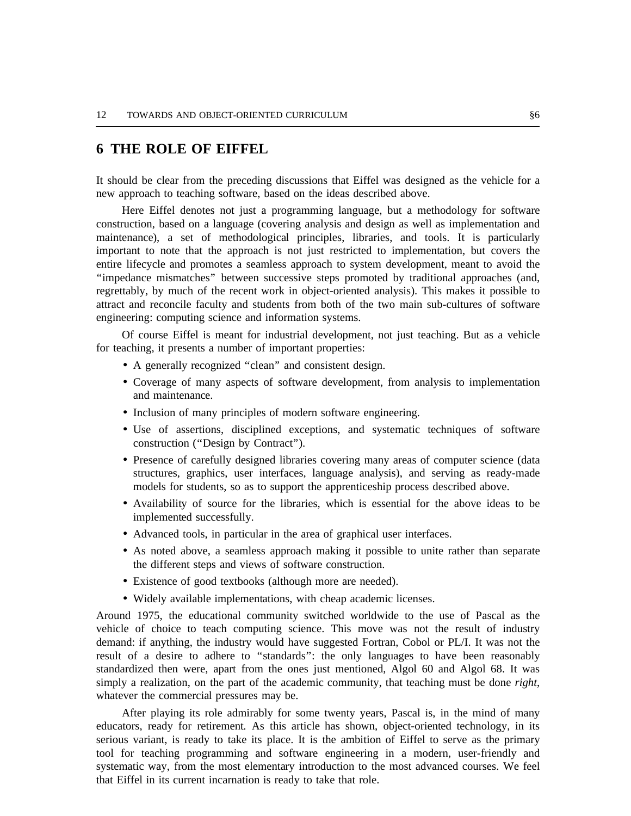# **6 THE ROLE OF EIFFEL**

It should be clear from the preceding discussions that Eiffel was designed as the vehicle for a new approach to teaching software, based on the ideas described above.

Here Eiffel denotes not just a programming language, but a methodology for software m aintenance), a set of methodological principles, libraries, and tools. It is particularly construction, based on a language (covering analysis and design as well as implementation and important to note that the approach is not just restricted to implementation, but covers the e ntire lifecycle and promotes a seamless approach to system development, meant to avoid the "impedance mismatches" between successive steps promoted by traditional approaches (and, r egrettably, by much of the recent work in object-oriented analysis). This makes it possible to attract and reconcile faculty and students from both of the two main sub-cultures of software e ngineering: computing science and information systems.

Of course Eiffel is meant for industrial development, not just teaching. But as a vehicle f or teaching, it presents a number of important properties:

- A generally recognized ''clean'' and consistent design.
- Coverage of many aspects of software development, from analysis to implementation and maintenance.
- Inclusion of many principles of modern software engineering.
- Use of assertions, disciplined exceptions, and systematic techniques of software construction (''Design by Contract'').
- Presence of carefully designed libraries covering many areas of computer science (data structures, graphics, user interfaces, language analysis), and serving as ready-made m odels for students, so as to support the apprenticeship process described above.
- Availability of source for the libraries, which is essential for the above ideas to be implemented successfully.
- Advanced tools, in particular in the area of graphical user interfaces.
- As noted above, a seamless approach making it possible to unite rather than separate the different steps and views of software construction.
- Existence of good textbooks (although more are needed).
- Widely available implementations, with cheap academic licenses.

Around 1975, the educational community switched worldwide to the use of Pascal as the v ehicle of choice to teach computing science. This move was not the result of industry demand: if anything, the industry would have suggested Fortran, Cobol or PL/I. It was not the r esult of a desire to adhere to ''standards'': the only languages to have been reasonably s standardized then were, apart from the ones just mentioned, Algol 60 and Algol 68. It wa s imply a realization, on the part of the academic community, that teaching must be done *right*, whatever the commercial pressures may be.

After playing its role admirably for some twenty years, Pascal is, in the mind of many educators, ready for retirement. As this article has shown, object-oriented technology, in its s erious variant, is ready to take its place. It is the ambition of Eiffel to serve as the primary tool for teaching programming and software engineering in a modern, user-friendly and s ystematic way, from the most elementary introduction to the most advanced courses. We feel that Eiffel in its current incarnation is ready to take that role.